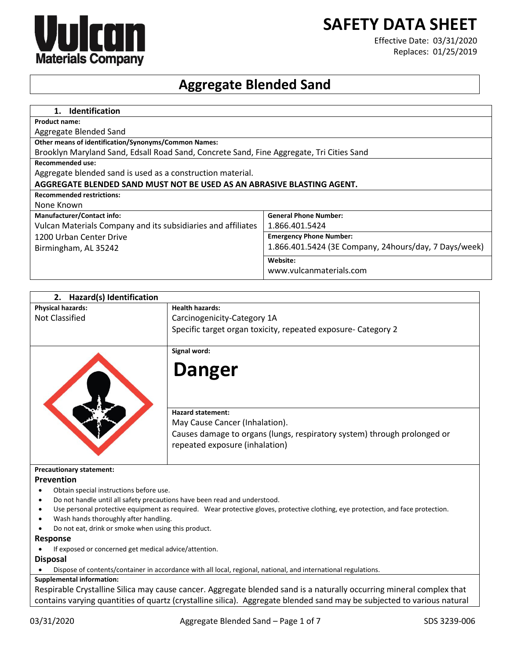# **SAFETY DATA SHEET**



Effective Date: 03/31/2020 Replaces: 01/25/2019

# **Aggregate Blended Sand**

| <b>Identification</b><br>$1_{-}$                                                         |                                                       |
|------------------------------------------------------------------------------------------|-------------------------------------------------------|
| <b>Product name:</b>                                                                     |                                                       |
| Aggregate Blended Sand                                                                   |                                                       |
| <b>Other means of identification/Synonyms/Common Names:</b>                              |                                                       |
| Brooklyn Maryland Sand, Edsall Road Sand, Concrete Sand, Fine Aggregate, Tri Cities Sand |                                                       |
| <b>Recommended use:</b>                                                                  |                                                       |
| Aggregate blended sand is used as a construction material.                               |                                                       |
| AGGREGATE BLENDED SAND MUST NOT BE USED AS AN ABRASIVE BLASTING AGENT.                   |                                                       |
| <b>Recommended restrictions:</b>                                                         |                                                       |
| None Known                                                                               |                                                       |
| <b>Manufacturer/Contact info:</b>                                                        | <b>General Phone Number:</b>                          |
| Vulcan Materials Company and its subsidiaries and affiliates                             | 1.866.401.5424                                        |
| 1200 Urban Center Drive                                                                  | <b>Emergency Phone Number:</b>                        |
| Birmingham, AL 35242                                                                     | 1.866.401.5424 (3E Company, 24hours/day, 7 Days/week) |
|                                                                                          | Website:                                              |
|                                                                                          | www.vulcanmaterials.com                               |

| <b>Hazard(s) Identification</b><br>2. |                                                                                                            |
|---------------------------------------|------------------------------------------------------------------------------------------------------------|
| <b>Physical hazards:</b>              | <b>Health hazards:</b>                                                                                     |
| <b>Not Classified</b>                 | Carcinogenicity-Category 1A                                                                                |
|                                       | Specific target organ toxicity, repeated exposure- Category 2                                              |
|                                       | Signal word:                                                                                               |
|                                       | <b>Danger</b>                                                                                              |
|                                       | <b>Hazard statement:</b>                                                                                   |
|                                       | May Cause Cancer (Inhalation).                                                                             |
|                                       | Causes damage to organs (lungs, respiratory system) through prolonged or<br>repeated exposure (inhalation) |
| <b>Precautionary statement:</b>       |                                                                                                            |

#### **Prevention**

- Obtain special instructions before use.
- Do not handle until all safety precautions have been read and understood.
- Use personal protective equipment as required. Wear protective gloves, protective clothing, eye protection, and face protection.
- Wash hands thoroughly after handling.
- Do not eat, drink or smoke when using this product.

**Response**

If exposed or concerned get medical advice/attention.

# **Disposal**

Dispose of contents/container in accordance with all local, regional, national, and international regulations.

# **Supplemental information:**

Respirable Crystalline Silica may cause cancer. Aggregate blended sand is a naturally occurring mineral complex that contains varying quantities of quartz (crystalline silica). Aggregate blended sand may be subjected to various natural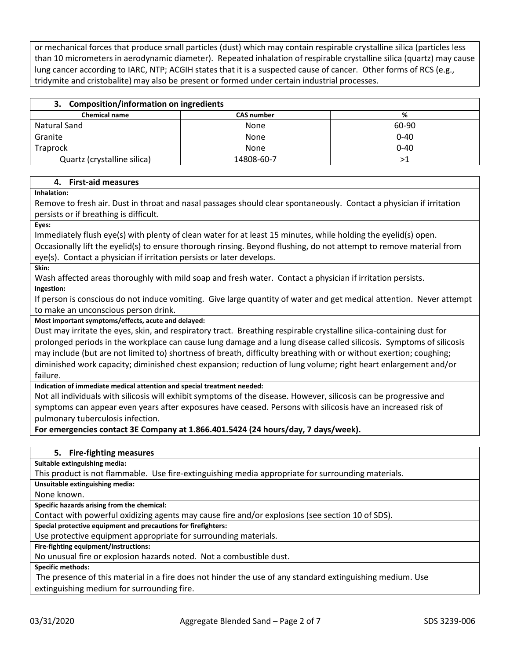or mechanical forces that produce small particles (dust) which may contain respirable crystalline silica (particles less than 10 micrometers in aerodynamic diameter). Repeated inhalation of respirable crystalline silica (quartz) may cause lung cancer according to IARC, NTP; ACGIH states that it is a suspected cause of cancer. Other forms of RCS (e.g., tridymite and cristobalite) may also be present or formed under certain industrial processes.

|  | 3. Composition/information on ingredients |  |
|--|-------------------------------------------|--|
|--|-------------------------------------------|--|

| <b>Chemical name</b>        | <b>CAS number</b> | %        |
|-----------------------------|-------------------|----------|
|                             |                   |          |
| Natural Sand                | None              | 60-90    |
| Granite                     | <b>None</b>       | $0 - 40$ |
| Traprock                    | <b>None</b>       | $0 - 40$ |
| Quartz (crystalline silica) | 14808-60-7        | ⋗Ί       |

#### **4. First-aid measures**

**Inhalation:**

Remove to fresh air. Dust in throat and nasal passages should clear spontaneously. Contact a physician if irritation persists or if breathing is difficult.

**Eyes:**

Immediately flush eye(s) with plenty of clean water for at least 15 minutes, while holding the eyelid(s) open. Occasionally lift the eyelid(s) to ensure thorough rinsing. Beyond flushing, do not attempt to remove material from eye(s). Contact a physician if irritation persists or later develops.

**Skin:**

Wash affected areas thoroughly with mild soap and fresh water. Contact a physician if irritation persists.

**Ingestion:**

If person is conscious do not induce vomiting. Give large quantity of water and get medical attention. Never attempt to make an unconscious person drink.

### **Most important symptoms/effects, acute and delayed:**

Dust may irritate the eyes, skin, and respiratory tract. Breathing respirable crystalline silica-containing dust for prolonged periods in the workplace can cause lung damage and a lung disease called silicosis. Symptoms of silicosis may include (but are not limited to) shortness of breath, difficulty breathing with or without exertion; coughing; diminished work capacity; diminished chest expansion; reduction of lung volume; right heart enlargement and/or failure.

**Indication of immediate medical attention and special treatment needed:**

Not all individuals with silicosis will exhibit symptoms of the disease. However, silicosis can be progressive and symptoms can appear even years after exposures have ceased. Persons with silicosis have an increased risk of pulmonary tuberculosis infection.

**For emergencies contact 3E Company at 1.866.401.5424 (24 hours/day, 7 days/week).**

# **5. Fire-fighting measures Suitable extinguishing media:** This product is not flammable. Use fire-extinguishing media appropriate for surrounding materials. **Unsuitable extinguishing media:** None known. **Specific hazards arising from the chemical:** Contact with powerful oxidizing agents may cause fire and/or explosions (see section 10 of SDS). **Special protective equipment and precautions for firefighters:** Use protective equipment appropriate for surrounding materials. **Fire-fighting equipment/instructions:** No unusual fire or explosion hazards noted. Not a combustible dust. **Specific methods:**

The presence of this material in a fire does not hinder the use of any standard extinguishing medium. Use extinguishing medium for surrounding fire.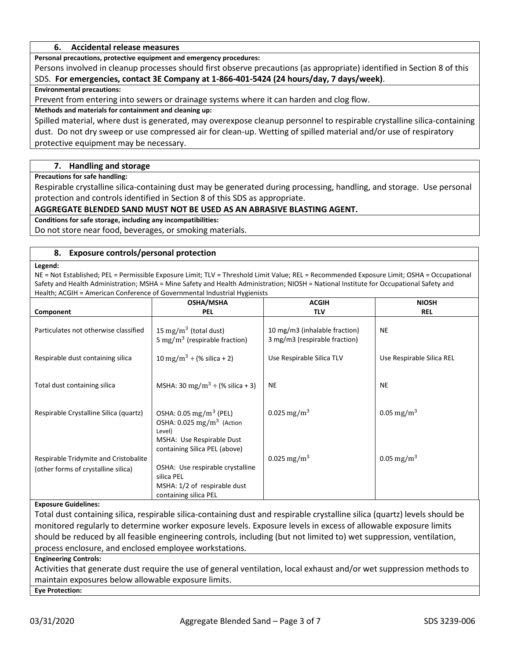#### **6. Accidental release measures**

**Personal precautions, protective equipment and emergency procedures:**

Persons involved in cleanup processes should first observe precautions (as appropriate) identified in Section 8 of this SDS. **For emergencies, contact 3E Company at 1-866-401-5424 (24 hours/day, 7 days/week)**.

#### **Environmental precautions:**

Prevent from entering into sewers or drainage systems where it can harden and clog flow.

#### **Methods and materials for containment and cleaning up:**

Spilled material, where dust is generated, may overexpose cleanup personnel to respirable crystalline silica-containing dust. Do not dry sweep or use compressed air for clean-up. Wetting of spilled material and/or use of respiratory protective equipment may be necessary.

## **7. Handling and storage**

**Precautions for safe handling:**

Respirable crystalline silica-containing dust may be generated during processing, handling, and storage. Use personal protection and controls identified in Section 8 of this SDS as appropriate.

### **AGGREGATE BLENDED SAND MUST NOT BE USED AS AN ABRASIVE BLASTING AGENT.**

**Conditions for safe storage, including any incompatibilities:**

Do not store near food, beverages, or smoking materials.

#### **8. Exposure controls/personal protection**

#### **Legend:**

NE = Not Established; PEL = Permissible Exposure Limit; TLV = Threshold Limit Value; REL = Recommended Exposure Limit; OSHA = Occupational Safety and Health Administration; MSHA = Mine Safety and Health Administration; NIOSH = National Institute for Occupational Safety and Health; ACGIH = American Conference of Governmental Industrial Hygienists

|                                        | OSHA/MSHA                                                                                                       | <b>ACGIH</b>                                                   | <b>NIOSH</b>              |
|----------------------------------------|-----------------------------------------------------------------------------------------------------------------|----------------------------------------------------------------|---------------------------|
| Component                              | <b>PEL</b>                                                                                                      | <b>TLV</b>                                                     | <b>REL</b>                |
| Particulates not otherwise classified  | 15 mg/m <sup>3</sup> (total dust)<br>5 mg/m <sup>3</sup> (respirable fraction)                                  | 10 mg/m3 (inhalable fraction)<br>3 mg/m3 (respirable fraction) | <b>NE</b>                 |
| Respirable dust containing silica      | 10 mg/m <sup>3</sup> ÷ (% silica + 2)                                                                           | Use Respirable Silica TLV                                      | Use Respirable Silica REL |
|                                        |                                                                                                                 |                                                                |                           |
| Total dust containing silica           | MSHA: 30 mg/m <sup>3</sup> ÷ (% silica + 3)                                                                     | <b>NE</b>                                                      | <b>NE</b>                 |
| Respirable Crystalline Silica (quartz) | OSHA: $0.05 \text{ mg/m}^3$ (PEL)                                                                               | 0.025 mg/m <sup>3</sup>                                        | 0.05 mg/m <sup>3</sup>    |
|                                        | OSHA: $0.025$ mg/m <sup>3</sup> (Action<br>Level)<br>MSHA: Use Respirable Dust<br>containing Silica PEL (above) |                                                                |                           |
| Respirable Tridymite and Cristobalite  |                                                                                                                 | 0.025 mg/m <sup>3</sup>                                        | 0.05 mg/m <sup>3</sup>    |
| (other forms of crystalline silica)    | OSHA: Use respirable crystalline                                                                                |                                                                |                           |
|                                        | silica PEL                                                                                                      |                                                                |                           |
|                                        | MSHA: 1/2 of respirable dust                                                                                    |                                                                |                           |
|                                        | containing silica PEL                                                                                           |                                                                |                           |

## **Exposure Guidelines:**

Total dust containing silica, respirable silica-containing dust and respirable crystalline silica (quartz) levels should be monitored regularly to determine worker exposure levels. Exposure levels in excess of allowable exposure limits should be reduced by all feasible engineering controls, including (but not limited to) wet suppression, ventilation, process enclosure, and enclosed employee workstations.

#### **Engineering Controls:**

Activities that generate dust require the use of general ventilation, local exhaust and/or wet suppression methods to maintain exposures below allowable exposure limits.

**Eye Protection:**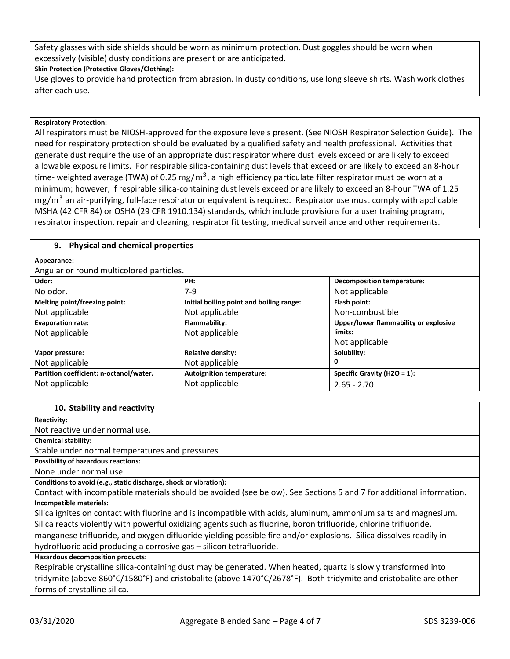Safety glasses with side shields should be worn as minimum protection. Dust goggles should be worn when excessively (visible) dusty conditions are present or are anticipated.

**Skin Protection (Protective Gloves/Clothing):**

Use gloves to provide hand protection from abrasion. In dusty conditions, use long sleeve shirts. Wash work clothes after each use.

## **Respiratory Protection:**

All respirators must be NIOSH-approved for the exposure levels present. (See NIOSH Respirator Selection Guide). The need for respiratory protection should be evaluated by a qualified safety and health professional. Activities that generate dust require the use of an appropriate dust respirator where dust levels exceed or are likely to exceed allowable exposure limits. For respirable silica-containing dust levels that exceed or are likely to exceed an 8-hour time- weighted average (TWA) of 0.25  $mg/m^3$ , a high efficiency particulate filter respirator must be worn at a minimum; however, if respirable silica-containing dust levels exceed or are likely to exceed an 8-hour TWA of 1.25  $mg/m^3$  an air-purifying, full-face respirator or equivalent is required. Respirator use must comply with applicable MSHA (42 CFR 84) or OSHA (29 CFR 1910.134) standards, which include provisions for a user training program, respirator inspection, repair and cleaning, respirator fit testing, medical surveillance and other requirements.

## **9. Physical and chemical properties**

## **Appearance:**

Angular or round multicolored particles.

| Aligular or Touriu multicolored particles. |                                          |                                       |
|--------------------------------------------|------------------------------------------|---------------------------------------|
| Odor:                                      | PH:                                      | <b>Decomposition temperature:</b>     |
| No odor.                                   | $7-9$                                    | Not applicable                        |
| Melting point/freezing point:              | Initial boiling point and boiling range: | Flash point:                          |
| Not applicable                             | Not applicable                           | Non-combustible                       |
| <b>Evaporation rate:</b>                   | Flammability:                            | Upper/lower flammability or explosive |
| Not applicable                             | Not applicable                           | limits:                               |
|                                            |                                          | Not applicable                        |
| Vapor pressure:                            | <b>Relative density:</b>                 | Solubility:                           |
| Not applicable                             | Not applicable                           | 0                                     |
| Partition coefficient: n-octanol/water.    | <b>Autoignition temperature:</b>         | Specific Gravity ( $H2O = 1$ ):       |
| Not applicable                             | Not applicable                           | $2.65 - 2.70$                         |

#### **10. Stability and reactivity**

#### **Reactivity:**

Not reactive under normal use.

**Chemical stability:**

Stable under normal temperatures and pressures.

**Possibility of hazardous reactions:**

None under normal use.

**Conditions to avoid (e.g., static discharge, shock or vibration):**

Contact with incompatible materials should be avoided (see below). See Sections 5 and 7 for additional information. **Incompatible materials:**

Silica ignites on contact with fluorine and is incompatible with acids, aluminum, ammonium salts and magnesium. Silica reacts violently with powerful oxidizing agents such as fluorine, boron trifluoride, chlorine trifluoride, manganese trifluoride, and oxygen difluoride yielding possible fire and/or explosions. Silica dissolves readily in

hydrofluoric acid producing a corrosive gas – silicon tetrafluoride.

## **Hazardous decomposition products:**

Respirable crystalline silica-containing dust may be generated. When heated, quartz is slowly transformed into tridymite (above 860°C/1580°F) and cristobalite (above 1470°C/2678°F). Both tridymite and cristobalite are other forms of crystalline silica.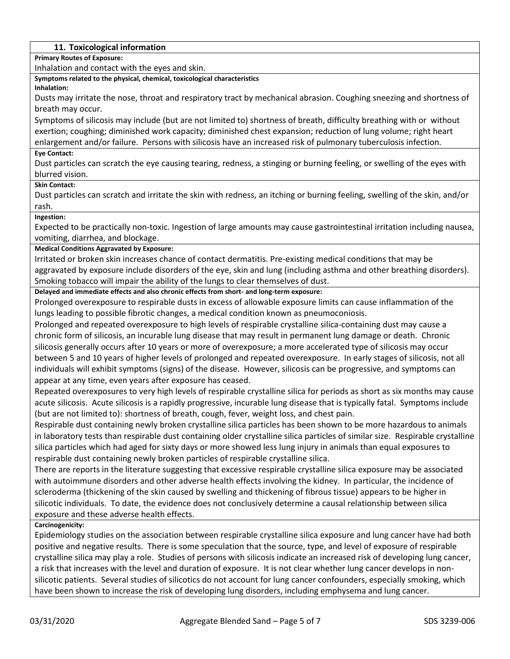## **11. Toxicological information**

**Primary Routes of Exposure:**

Inhalation and contact with the eyes and skin.

**Symptoms related to the physical, chemical, toxicological characteristics**

#### **Inhalation:**

Dusts may irritate the nose, throat and respiratory tract by mechanical abrasion. Coughing sneezing and shortness of breath may occur.

Symptoms of silicosis may include (but are not limited to) shortness of breath, difficulty breathing with or without exertion; coughing; diminished work capacity; diminished chest expansion; reduction of lung volume; right heart enlargement and/or failure. Persons with silicosis have an increased risk of pulmonary tuberculosis infection.

#### **Eye Contact:**

Dust particles can scratch the eye causing tearing, redness, a stinging or burning feeling, or swelling of the eyes with blurred vision.

#### **Skin Contact:**

Dust particles can scratch and irritate the skin with redness, an itching or burning feeling, swelling of the skin, and/or rash.

#### **Ingestion:**

Expected to be practically non-toxic. Ingestion of large amounts may cause gastrointestinal irritation including nausea, vomiting, diarrhea, and blockage.

#### **Medical Conditions Aggravated by Exposure:**

Irritated or broken skin increases chance of contact dermatitis. Pre-existing medical conditions that may be aggravated by exposure include disorders of the eye, skin and lung (including asthma and other breathing disorders). Smoking tobacco will impair the ability of the lungs to clear themselves of dust.

**Delayed and immediate effects and also chronic effects from short- and long-term exposure:**

Prolonged overexposure to respirable dusts in excess of allowable exposure limits can cause inflammation of the lungs leading to possible fibrotic changes, a medical condition known as pneumoconiosis.

Prolonged and repeated overexposure to high levels of respirable crystalline silica-containing dust may cause a chronic form of silicosis, an incurable lung disease that may result in permanent lung damage or death. Chronic silicosis generally occurs after 10 years or more of overexposure; a more accelerated type of silicosis may occur between 5 and 10 years of higher levels of prolonged and repeated overexposure. In early stages of silicosis, not all individuals will exhibit symptoms (signs) of the disease. However, silicosis can be progressive, and symptoms can appear at any time, even years after exposure has ceased.

Repeated overexposures to very high levels of respirable crystalline silica for periods as short as six months may cause acute silicosis. Acute silicosis is a rapidly progressive, incurable lung disease that is typically fatal. Symptoms include (but are not limited to): shortness of breath, cough, fever, weight loss, and chest pain.

Respirable dust containing newly broken crystalline silica particles has been shown to be more hazardous to animals in laboratory tests than respirable dust containing older crystalline silica particles of similar size. Respirable crystalline silica particles which had aged for sixty days or more showed less lung injury in animals than equal exposures to respirable dust containing newly broken particles of respirable crystalline silica.

There are reports in the literature suggesting that excessive respirable crystalline silica exposure may be associated with autoimmune disorders and other adverse health effects involving the kidney. In particular, the incidence of scleroderma (thickening of the skin caused by swelling and thickening of fibrous tissue) appears to be higher in silicotic individuals. To date, the evidence does not conclusively determine a causal relationship between silica exposure and these adverse health effects.

#### **Carcinogenicity:**

Epidemiology studies on the association between respirable crystalline silica exposure and lung cancer have had both positive and negative results. There is some speculation that the source, type, and level of exposure of respirable crystalline silica may play a role. Studies of persons with silicosis indicate an increased risk of developing lung cancer, a risk that increases with the level and duration of exposure. It is not clear whether lung cancer develops in nonsilicotic patients. Several studies of silicotics do not account for lung cancer confounders, especially smoking, which have been shown to increase the risk of developing lung disorders, including emphysema and lung cancer.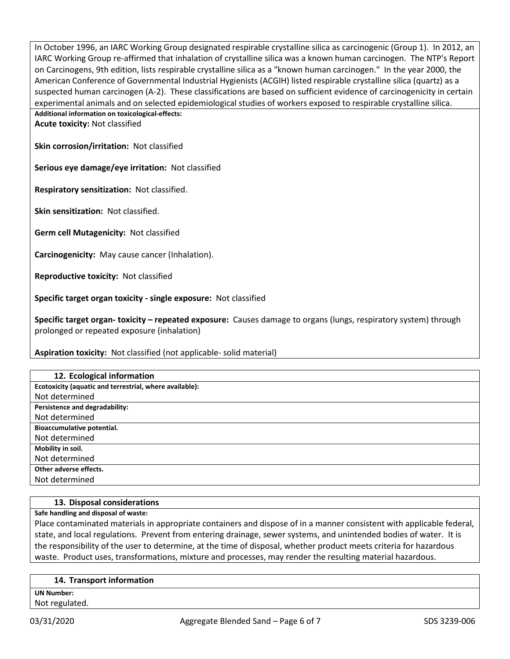In October 1996, an IARC Working Group designated respirable crystalline silica as carcinogenic (Group 1). In 2012, an IARC Working Group re-affirmed that inhalation of crystalline silica was a known human carcinogen. The NTP's Report on Carcinogens, 9th edition, lists respirable crystalline silica as a "known human carcinogen." In the year 2000, the American Conference of Governmental Industrial Hygienists (ACGIH) listed respirable crystalline silica (quartz) as a suspected human carcinogen (A-2). These classifications are based on sufficient evidence of carcinogenicity in certain experimental animals and on selected epidemiological studies of workers exposed to respirable crystalline silica.

**Additional information on toxicological-effects:**

**Acute toxicity:** Not classified

**Skin corrosion/irritation:** Not classified

**Serious eye damage/eye irritation:** Not classified

**Respiratory sensitization:** Not classified.

**Skin sensitization:** Not classified.

**Germ cell Mutagenicity:** Not classified

**Carcinogenicity:** May cause cancer (Inhalation).

**Reproductive toxicity:** Not classified

**Specific target organ toxicity - single exposure:** Not classified

**Specific target organ- toxicity – repeated exposure:** Causes damage to organs (lungs, respiratory system) through prolonged or repeated exposure (inhalation)

**Aspiration toxicity:** Not classified (not applicable- solid material)

| 12. Ecological information                              |
|---------------------------------------------------------|
| Ecotoxicity (aquatic and terrestrial, where available): |
| Not determined                                          |
| Persistence and degradability:                          |
| Not determined                                          |
| Bioaccumulative potential.                              |
| Not determined                                          |
| Mobility in soil.                                       |
| Not determined                                          |
| Other adverse effects.                                  |
| Not determined                                          |

#### **13. Disposal considerations**

**Safe handling and disposal of waste:**

Place contaminated materials in appropriate containers and dispose of in a manner consistent with applicable federal, state, and local regulations. Prevent from entering drainage, sewer systems, and unintended bodies of water. It is the responsibility of the user to determine, at the time of disposal, whether product meets criteria for hazardous waste. Product uses, transformations, mixture and processes, may render the resulting material hazardous.

#### **14. Transport information**

**UN Number:** Not regulated.